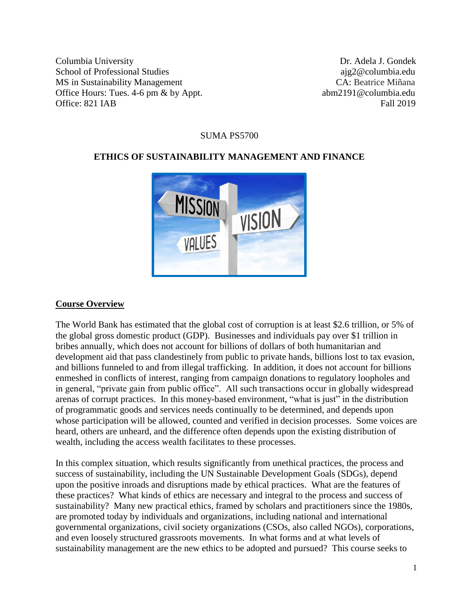Columbia UniversityDr. Adela J. Gondek School of Professional Studies ajg2@columbia.edu MS in Sustainability Management CA: Beatrice Miñana Office Hours: Tues. 4-6 pm & by Appt. abm2191@columbia.edu Office: 821 IAB Fall 2019

#### SUMA PS5700

#### **ETHICS OF SUSTAINABILITY MANAGEMENT AND FINANCE**



#### **Course Overview**

The World Bank has estimated that the global cost of corruption is at least \$2.6 trillion, or 5% of the global gross domestic product (GDP). Businesses and individuals pay over \$1 trillion in bribes annually, which does not account for billions of dollars of both humanitarian and development aid that pass clandestinely from public to private hands, billions lost to tax evasion, and billions funneled to and from illegal trafficking. In addition, it does not account for billions enmeshed in conflicts of interest, ranging from campaign donations to regulatory loopholes and in general, "private gain from public office". All such transactions occur in globally widespread arenas of corrupt practices. In this money-based environment, "what is just" in the distribution of programmatic goods and services needs continually to be determined, and depends upon whose participation will be allowed, counted and verified in decision processes. Some voices are heard, others are unheard, and the difference often depends upon the existing distribution of wealth, including the access wealth facilitates to these processes.

In this complex situation, which results significantly from unethical practices, the process and success of sustainability, including the UN Sustainable Development Goals (SDGs), depend upon the positive inroads and disruptions made by ethical practices. What are the features of these practices? What kinds of ethics are necessary and integral to the process and success of sustainability? Many new practical ethics, framed by scholars and practitioners since the 1980s, are promoted today by individuals and organizations, including national and international governmental organizations, civil society organizations (CSOs, also called NGOs), corporations, and even loosely structured grassroots movements. In what forms and at what levels of sustainability management are the new ethics to be adopted and pursued? This course seeks to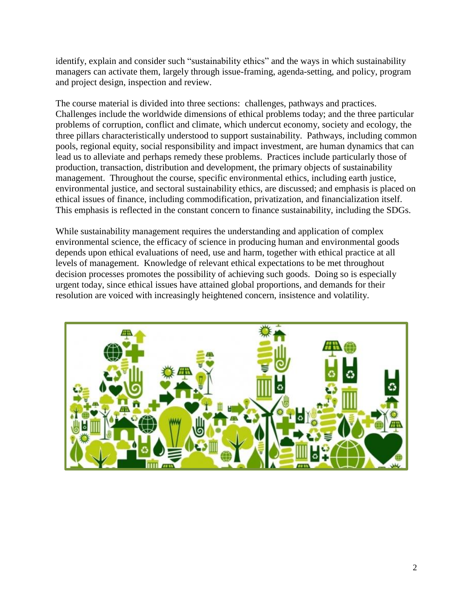identify, explain and consider such "sustainability ethics" and the ways in which sustainability managers can activate them, largely through issue-framing, agenda-setting, and policy, program and project design, inspection and review.

The course material is divided into three sections: challenges, pathways and practices. Challenges include the worldwide dimensions of ethical problems today; and the three particular problems of corruption, conflict and climate, which undercut economy, society and ecology, the three pillars characteristically understood to support sustainability. Pathways, including common pools, regional equity, social responsibility and impact investment, are human dynamics that can lead us to alleviate and perhaps remedy these problems. Practices include particularly those of production, transaction, distribution and development, the primary objects of sustainability management. Throughout the course, specific environmental ethics, including earth justice, environmental justice, and sectoral sustainability ethics, are discussed; and emphasis is placed on ethical issues of finance, including commodification, privatization, and financialization itself. This emphasis is reflected in the constant concern to finance sustainability, including the SDGs.

While sustainability management requires the understanding and application of complex environmental science, the efficacy of science in producing human and environmental goods depends upon ethical evaluations of need, use and harm, together with ethical practice at all levels of management. Knowledge of relevant ethical expectations to be met throughout decision processes promotes the possibility of achieving such goods. Doing so is especially urgent today, since ethical issues have attained global proportions, and demands for their resolution are voiced with increasingly heightened concern, insistence and volatility.

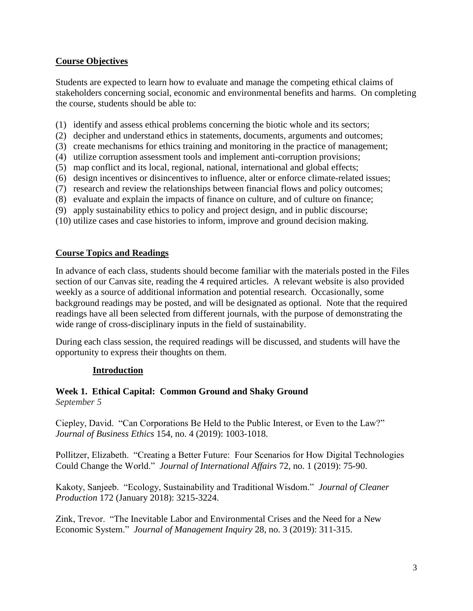## **Course Objectives**

Students are expected to learn how to evaluate and manage the competing ethical claims of stakeholders concerning social, economic and environmental benefits and harms. On completing the course, students should be able to:

- (1) identify and assess ethical problems concerning the biotic whole and its sectors;
- (2) decipher and understand ethics in statements, documents, arguments and outcomes;
- (3) create mechanisms for ethics training and monitoring in the practice of management;
- (4) utilize corruption assessment tools and implement anti-corruption provisions;
- (5) map conflict and its local, regional, national, international and global effects;
- (6) design incentives or disincentives to influence, alter or enforce climate-related issues;
- (7) research and review the relationships between financial flows and policy outcomes;
- (8) evaluate and explain the impacts of finance on culture, and of culture on finance;
- (9) apply sustainability ethics to policy and project design, and in public discourse;
- (10) utilize cases and case histories to inform, improve and ground decision making.

# **Course Topics and Readings**

In advance of each class, students should become familiar with the materials posted in the Files section of our Canvas site, reading the 4 required articles. A relevant website is also provided weekly as a source of additional information and potential research. Occasionally, some background readings may be posted, and will be designated as optional. Note that the required readings have all been selected from different journals, with the purpose of demonstrating the wide range of cross-disciplinary inputs in the field of sustainability.

During each class session, the required readings will be discussed, and students will have the opportunity to express their thoughts on them.

# **Introduction**

# **Week 1. Ethical Capital: Common Ground and Shaky Ground**

*September 5*

Ciepley, David. "Can Corporations Be Held to the Public Interest, or Even to the Law?" *Journal of Business Ethics* 154, no. 4 (2019): 1003-1018.

Pollitzer, Elizabeth. "Creating a Better Future: Four Scenarios for How Digital Technologies Could Change the World." *Journal of International Affairs* 72, no. 1 (2019): 75-90.

Kakoty, Sanjeeb. "Ecology, Sustainability and Traditional Wisdom." *Journal of Cleaner Production* 172 (January 2018): 3215-3224.

Zink, Trevor. "The Inevitable Labor and Environmental Crises and the Need for a New Economic System." *Journal of Management Inquiry* 28, no. 3 (2019): 311-315.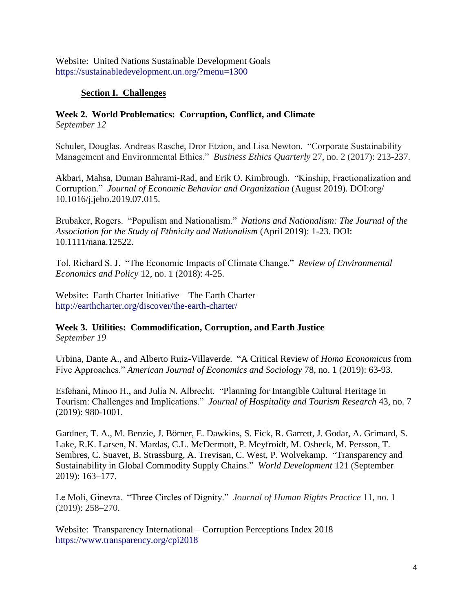Website: United Nations Sustainable Development Goals <https://sustainabledevelopment.un.org/?menu=1300>

# **Section I. Challenges**

#### **Week 2. World Problematics: Corruption, Conflict, and Climate** *September 12*

Schuler, Douglas, Andreas Rasche, Dror Etzion, and Lisa Newton. "Corporate Sustainability Management and Environmental Ethics." *Business Ethics Quarterly* 27, no. 2 (2017): 213-237.

Akbari, Mahsa, Duman Bahrami-Rad, and Erik O. Kimbrough. "Kinship, Fractionalization and Corruption." *Journal of Economic Behavior and Organization* (August 2019). [DOI:org/](https://doi.org/10.1016/j.jebo.2019.07.015) [10.1016/j.jebo.2019.07.015.](https://doi.org/10.1016/j.jebo.2019.07.015)

Brubaker, Rogers. "Populism and Nationalism." *Nations and Nationalism: The Journal of the Association for the Study of Ethnicity and Nationalism* (April 2019): 1-23. DOI: 10.1111/nana.12522.

Tol, Richard S. J. "The Economic Impacts of Climate Change." *Review of Environmental Economics and Policy* 12, no. 1 (2018): 4-25.

Website: Earth Charter Initiative – The Earth Charter <http://earthcharter.org/discover/the-earth-charter/>

#### **Week 3. Utilities: Commodification, Corruption, and Earth Justice** *September 19*

Urbina, Dante A., and Alberto Ruiz-Villaverde. "A Critical Review of *Homo Economicus* from Five Approaches." *American Journal of Economics and Sociology* 78, no. 1 (2019): 63-93.

Esfehani, Minoo H., and Julia N. Albrecht. "Planning for Intangible Cultural Heritage in Tourism: Challenges and Implications." *Journal of Hospitality and Tourism Research* 43, no. 7 (2019): 980-1001.

Gardner, T. A., M. Benzie, J. Börner, E. Dawkins, S. Fick, R. Garrett, J. Godar, A. Grimard, S. Lake, R.K. Larsen, N. Mardas, C.L. McDermott, P. Meyfroidt, M. Osbeck, M. Persson, T. Sembres, C. Suavet, B. Strassburg, A. Trevisan, C. West, P. Wolvekamp. "Transparency and Sustainability in Global Commodity Supply Chains." *World Development* 121 (September 2019): 163–177.

Le Moli, Ginevra. "Three Circles of Dignity." *Journal of Human Rights Practice* 11, no. 1 (2019): 258–270.

Website: Transparency International – Corruption Perceptions Index 2018 <https://www.transparency.org/cpi2018>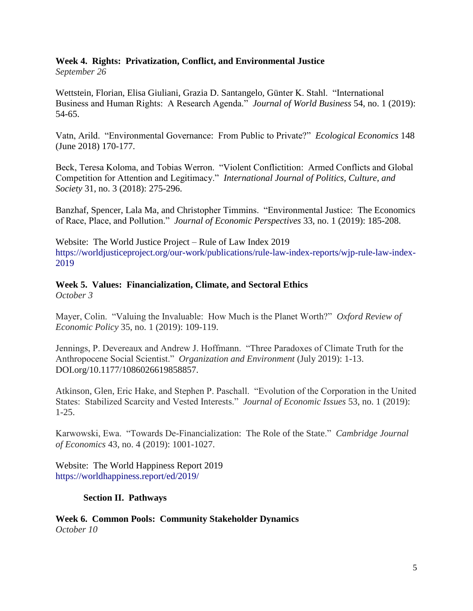#### **Week 4. Rights: Privatization, Conflict, and Environmental Justice** *September 26*

Wettstein, Florian, Elisa Giuliani, Grazia D. Santangelo, Günter K. Stahl. "International Business and Human Rights: A Research Agenda." *Journal of World Business* 54, no. 1 (2019): 54-65.

Vatn, Arild. "Environmental Governance: From Public to Private?" *Ecological Economics* 148 (June 2018) 170-177.

Beck, Teresa Koloma, and Tobias Werron. "Violent Conflictition: Armed Conflicts and Global Competition for Attention and Legitimacy." *International Journal of Politics, Culture, and Society* 31, no. 3 (2018): 275-296.

Banzhaf, Spencer, Lala Ma, and Christopher Timmins. "Environmental Justice: The Economics of Race, Place, and Pollution." *Journal of Economic Perspectives* 33, no. 1 (2019): 185-208.

Website: The World Justice Project – Rule of Law Index 2019 [https://worldjusticeproject.org/our-work/publications/rule-law-index-reports/wjp-rule-law-index-](https://worldjusticeproject.org/our-work/publications/rule-law-index-reports/wjp-rule-law-index-2019)[2019](https://worldjusticeproject.org/our-work/publications/rule-law-index-reports/wjp-rule-law-index-2019)

# **Week 5. Values: Financialization, Climate, and Sectoral Ethics**

*October 3*

Mayer, Colin. "Valuing the Invaluable: How Much is the Planet Worth?" *Oxford Review of Economic Policy* 35, no. 1 (2019): 109-119.

Jennings, P. Devereaux and Andrew J. Hoffmann. "Three Paradoxes of Climate Truth for the Anthropocene Social Scientist." *Organization and Environment* (July 2019): 1-13. [DOI.org/10.1177/1086026619858857.](https://doi.org/10.1177%2F1086026619858857)

Atkinson, Glen, Eric Hake, and Stephen P. Paschall. "Evolution of the Corporation in the United States: Stabilized Scarcity and Vested Interests." *Journal of Economic Issues* 53, no. 1 (2019): 1-25.

Karwowski, Ewa. "Towards De-Financialization: The Role of the State." *Cambridge Journal of Economics* 43, no. 4 (2019): 1001-1027.

Website: The World Happiness Report 2019 <https://worldhappiness.report/ed/2019/>

# **Section II. Pathways**

**Week 6. Common Pools: Community Stakeholder Dynamics** *October 10*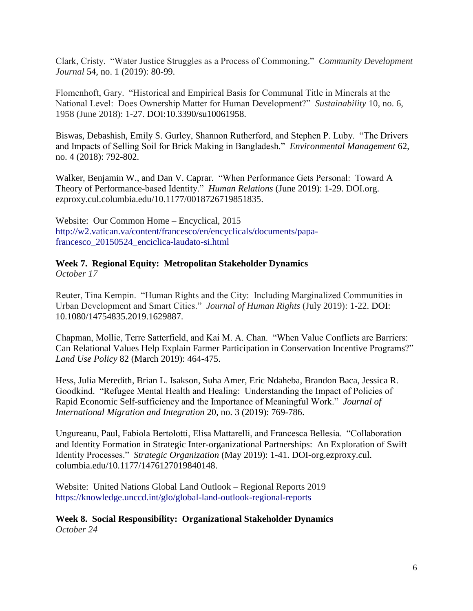Clark, Cristy. "Water Justice Struggles as a Process of Commoning." *Community Development Journal* 54, no. 1 (2019): 80-99.

Flomenhoft, Gary. "Historical and Empirical Basis for Communal Title in Minerals at the National Level: Does Ownership Matter for Human Development?" *Sustainability* 10, no. 6, 1958 (June 2018): 1-27. DOI:10.3390/su10061958.

Biswas, Debashish, Emily S. Gurley, Shannon Rutherford, and Stephen P. Luby. "The Drivers and Impacts of Selling Soil for Brick Making in Bangladesh." *Environmental Management* 62, no. 4 (2018): 792-802.

Walker, Benjamin W., and Dan V. Caprar. "When Performance Gets Personal: Toward A Theory of Performance-based Identity." *Human Relations* (June 2019): 1-29. [DOI.org.](https://doi-org.ezproxy.cul.columbia.edu/10.1177%2F0018726719851835) [ezproxy.cul.columbia.edu/10.1177/0018726719851835.](https://doi-org.ezproxy.cul.columbia.edu/10.1177%2F0018726719851835)

Website: Our Common Home – Encyclical, 2015 [http://w2.vatican.va/content/francesco/en/encyclicals/documents/papa](http://w2.vatican.va/content/francesco/en/encyclicals/documents/papa-francesco_20150524_enciclica-laudato-si.html)[francesco\\_20150524\\_enciclica-laudato-si.html](http://w2.vatican.va/content/francesco/en/encyclicals/documents/papa-francesco_20150524_enciclica-laudato-si.html)

# **Week 7. Regional Equity: Metropolitan Stakeholder Dynamics**

*October 17*

Reuter, Tina Kempin. "Human Rights and the City: Including Marginalized Communities in Urban Development and Smart Cities." *Journal of Human Rights* (July 2019): 1-22. DOI: 10.1080/14754835.2019.1629887.

Chapman, Mollie, Terre Satterfield, and Kai M. A. Chan. "When Value Conflicts are Barriers: Can Relational Values Help Explain Farmer Participation in Conservation Incentive Programs?" *Land Use Policy* 82 (March 2019): 464-475.

Hess, Julia Meredith, Brian L. Isakson, Suha Amer, Eric Ndaheba, Brandon Baca, Jessica R. Goodkind. "Refugee Mental Health and Healing: Understanding the Impact of Policies of Rapid Economic Self-sufficiency and the Importance of Meaningful Work." *Journal of International Migration and Integration* 20, no. 3 (2019): 769-786.

Ungureanu, Paul, Fabiola Bertolotti, Elisa Mattarelli, and Francesca Bellesia. "Collaboration and Identity Formation in Strategic Inter-organizational Partnerships: An Exploration of Swift Identity Processes." *Strategic Organization* (May 2019): 1-41. DOI-org.ezproxy.cul. columbia.edu/10.1177/1476127019840148.

Website: United Nations Global Land Outlook – Regional Reports 2019 <https://knowledge.unccd.int/glo/global-land-outlook-regional-reports>

**Week 8. Social Responsibility: Organizational Stakeholder Dynamics** *October 24*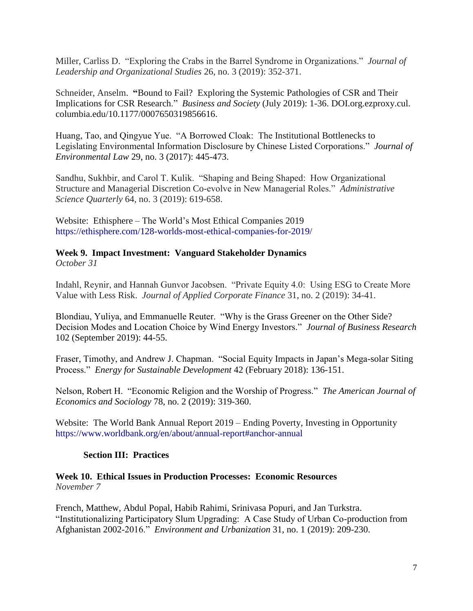Miller, Carliss D. "Exploring the Crabs in the Barrel Syndrome in Organizations." *Journal of Leadership and Organizational Studies* 26, no. 3 (2019): 352-371.

Schneider, Anselm. **"**Bound to Fail? Exploring the Systemic Pathologies of CSR and Their Implications for CSR Research." *Business and Society* (July 2019): 1-36. [DOI.org.ezproxy.cul.](https://doi-org.ezproxy.cul.columbia.edu/10.1177%2F0007650319856616) [columbia.edu/10.1177/0007650319856616.](https://doi-org.ezproxy.cul.columbia.edu/10.1177%2F0007650319856616)

Huang, Tao, and Qingyue Yue. "A Borrowed Cloak: The Institutional Bottlenecks to Legislating Environmental Information Disclosure by Chinese Listed Corporations." *Journal of Environmental Law* 29, no. 3 (2017): 445-473.

Sandhu, Sukhbir, and Carol T. Kulik. "Shaping and Being Shaped: How Organizational Structure and Managerial Discretion Co-evolve in New Managerial Roles." *Administrative Science Quarterly* 64, no. 3 (2019): 619-658.

Website: Ethisphere – The World's Most Ethical Companies 2019 <https://ethisphere.com/128-worlds-most-ethical-companies-for-2019/>

#### **Week 9. Impact Investment: Vanguard Stakeholder Dynamics** *October 31*

Indahl, Reynir, and Hannah Gunvor Jacobsen. "Private Equity 4.0: Using ESG to Create More Value with Less Risk. *Journal of Applied Corporate Finance* 31, no. 2 (2019): 34-41.

Blondiau, Yuliya, and Emmanuelle Reuter. "Why is the Grass Greener on the Other Side? Decision Modes and Location Choice by Wind Energy Investors." *Journal of Business Research* 102 (September 2019): 44-55.

Fraser, Timothy, and Andrew J. Chapman. "Social Equity Impacts in Japan's Mega-solar Siting Process." *Energy for Sustainable Development* 42 (February 2018): 136-151.

Nelson, Robert H. "Economic Religion and the Worship of Progress." *The American Journal of Economics and Sociology* 78, no. 2 (2019): 319-360.

Website: The World Bank Annual Report 2019 – Ending Poverty, Investing in Opportunity <https://www.worldbank.org/en/about/annual-report#anchor-annual>

# **Section III: Practices**

### **Week 10. Ethical Issues in Production Processes: Economic Resources**  *November 7*

French, Matthew, Abdul Popal, Habib Rahimi, Srinivasa Popuri, and Jan Turkstra. "Institutionalizing Participatory Slum Upgrading: A Case Study of Urban Co-production from Afghanistan 2002-2016." *Environment and Urbanization* 31, no. 1 (2019): 209-230.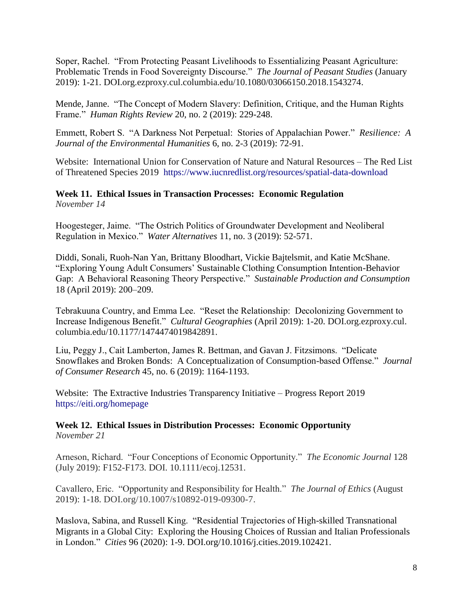Soper, Rachel. "From Protecting Peasant Livelihoods to Essentializing Peasant Agriculture: Problematic Trends in Food Sovereignty Discourse." *The Journal of Peasant Studies* (January 2019): 1-21. [DOI.org.ezproxy.cul.columbia.edu/10.1080/03066150.2018.1543274.](https://doi-org.ezproxy.cul.columbia.edu/10.1080/03066150.2018.1543274)

Mende, Janne. "The Concept of Modern Slavery: Definition, Critique, and the Human Rights Frame." *Human Rights Review* 20, no. 2 (2019): 229-248.

Emmett, Robert S. "A Darkness Not Perpetual: Stories of Appalachian Power." *Resilience: A Journal of the Environmental Humanities* 6, no. 2-3 (2019): 72-91.

Website: International Union for Conservation of Nature and Natural Resources – The Red List of Threatened Species 2019 <https://www.iucnredlist.org/resources/spatial-data-download>

## **Week 11. Ethical Issues in Transaction Processes: Economic Regulation** *November 14*

Hoogesteger, Jaime. "The Ostrich Politics of Groundwater Development and Neoliberal Regulation in Mexico." *Water Alternatives* 11, no. 3 (2019): 52-571.

Diddi, Sonali, Ruoh-Nan Yan, Brittany Bloodhart, Vickie Bajtelsmit, and Katie McShane. "Exploring Young Adult Consumers' Sustainable Clothing Consumption Intention-Behavior Gap: A Behavioral Reasoning Theory Perspective." *Sustainable Production and Consumption* 18 (April 2019): 200–209.

Tebrakuuna Country, and Emma Lee. "Reset the Relationship: Decolonizing Government to Increase Indigenous Benefit." *Cultural Geographies* (April 2019): 1-20. DOI[.org.ezproxy.cul.](https://doi-org.ezproxy.cul.columbia.edu/10.1177%2F1474474019842891) [columbia.edu/10.1177/1474474019842891.](https://doi-org.ezproxy.cul.columbia.edu/10.1177%2F1474474019842891)

Liu, Peggy J., Cait Lamberton, James R. Bettman, and Gavan J. Fitzsimons. "Delicate Snowflakes and Broken Bonds: A Conceptualization of Consumption-based Offense." *Journal of Consumer Research* 45, no. 6 (2019): 1164-1193.

Website: The Extractive Industries Transparency Initiative – Progress Report 2019 <https://eiti.org/homepage>

**Week 12. Ethical Issues in Distribution Processes: Economic Opportunity**  *November 21*

Arneson, Richard. "Four Conceptions of Economic Opportunity." *The Economic Journal* 128 (July 2019): F152-F173. DOI. 10.1111/ecoj.12531.

Cavallero, Eric. "Opportunity and Responsibility for Health." *The Journal of Ethics* (August 2019): 1-18. DOI.org/10.1007/s10892-019-09300-7.

Maslova, Sabina, and Russell King. "Residential Trajectories of High-skilled Transnational Migrants in a Global City: Exploring the Housing Choices of Russian and Italian Professionals in London." *Cities* 96 (2020): 1-9. DOI.org/10.1016/j.cities.2019.102421.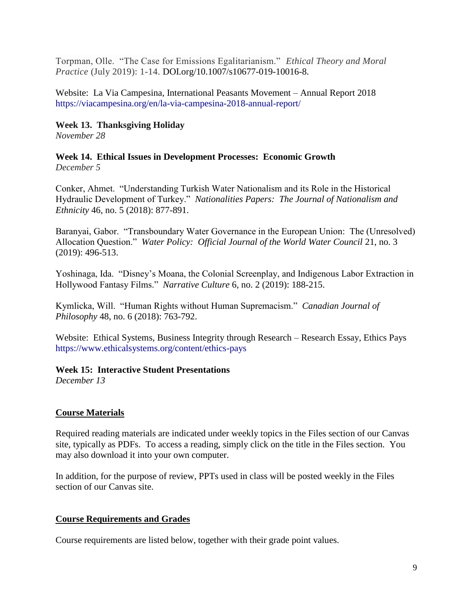Torpman, Olle. "The Case for Emissions Egalitarianism." *Ethical Theory and Moral Practice* (July 2019): 1-14. DOI.org/10.1007/s10677-019-10016-8.

Website: La Via Campesina, International Peasants Movement – Annual Report 2018 <https://viacampesina.org/en/la-via-campesina-2018-annual-report/>

### **Week 13. Thanksgiving Holiday**

*November 28*

#### **Week 14. Ethical Issues in Development Processes: Economic Growth**  *December 5*

Conker, Ahmet. "Understanding Turkish Water Nationalism and its Role in the Historical Hydraulic Development of Turkey." *Nationalities Papers: The Journal of Nationalism and Ethnicity* 46, no. 5 (2018): 877-891.

Baranyai, Gabor. "Transboundary Water Governance in the European Union: The (Unresolved) Allocation Question." *Water Policy: Official Journal of the World Water Council* 21, no. 3 (2019): 496-513.

Yoshinaga, Ida. "Disney's Moana, the Colonial Screenplay, and Indigenous Labor Extraction in Hollywood Fantasy Films." *Narrative Culture* 6, no. 2 (2019): 188-215.

Kymlicka, Will. "Human Rights without Human Supremacism." *Canadian Journal of Philosophy* 48, no. 6 (2018): 763-792.

Website: Ethical Systems, Business Integrity through Research – Research Essay, Ethics Pays <https://www.ethicalsystems.org/content/ethics-pays>

## **Week 15: Interactive Student Presentations**

*December 13*

## **Course Materials**

Required reading materials are indicated under weekly topics in the Files section of our Canvas site, typically as PDFs. To access a reading, simply click on the title in the Files section. You may also download it into your own computer.

In addition, for the purpose of review, PPTs used in class will be posted weekly in the Files section of our Canvas site.

## **Course Requirements and Grades**

Course requirements are listed below, together with their grade point values.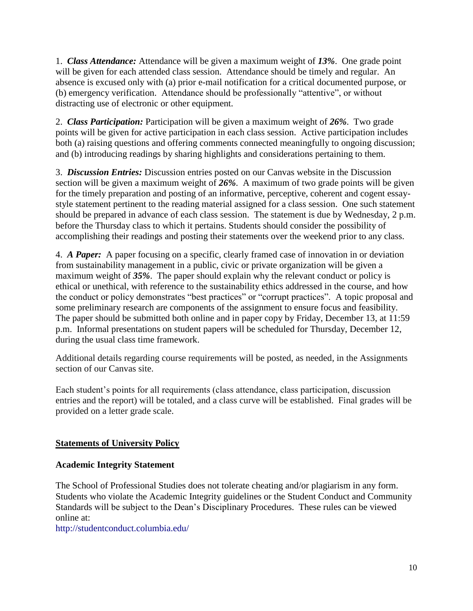1. *Class Attendance:* Attendance will be given a maximum weight of *13%*. One grade point will be given for each attended class session. Attendance should be timely and regular. An absence is excused only with (a) prior e-mail notification for a critical documented purpose, or (b) emergency verification. Attendance should be professionally "attentive", or without distracting use of electronic or other equipment.

2. *Class Participation:* Participation will be given a maximum weight of *26%*. Two grade points will be given for active participation in each class session. Active participation includes both (a) raising questions and offering comments connected meaningfully to ongoing discussion; and (b) introducing readings by sharing highlights and considerations pertaining to them.

3. *Discussion Entries:* Discussion entries posted on our Canvas website in the Discussion section will be given a maximum weight of *26%*. A maximum of two grade points will be given for the timely preparation and posting of an informative, perceptive, coherent and cogent essaystyle statement pertinent to the reading material assigned for a class session. One such statement should be prepared in advance of each class session. The statement is due by Wednesday, 2 p.m. before the Thursday class to which it pertains. Students should consider the possibility of accomplishing their readings and posting their statements over the weekend prior to any class.

4. *A Paper:* A paper focusing on a specific, clearly framed case of innovation in or deviation from sustainability management in a public, civic or private organization will be given a maximum weight of *35%*. The paper should explain why the relevant conduct or policy is ethical or unethical, with reference to the sustainability ethics addressed in the course, and how the conduct or policy demonstrates "best practices" or "corrupt practices". A topic proposal and some preliminary research are components of the assignment to ensure focus and feasibility. The paper should be submitted both online and in paper copy by Friday, December 13, at 11:59 p.m. Informal presentations on student papers will be scheduled for Thursday, December 12, during the usual class time framework.

Additional details regarding course requirements will be posted, as needed, in the Assignments section of our Canvas site.

Each student's points for all requirements (class attendance, class participation, discussion entries and the report) will be totaled, and a class curve will be established. Final grades will be provided on a letter grade scale.

# **Statements of University Policy**

## **Academic Integrity Statement**

The School of Professional Studies does not tolerate cheating and/or plagiarism in any form. Students who violate the Academic Integrity guidelines or the Student Conduct and Community Standards will be subject to the Dean's Disciplinary Procedures. These rules can be viewed online at:

<http://studentconduct.columbia.edu/>